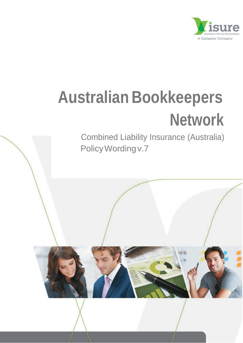

# **Australian Bookkeepers Network**

Combined Liability Insurance (Australia) Policy Wording v.7

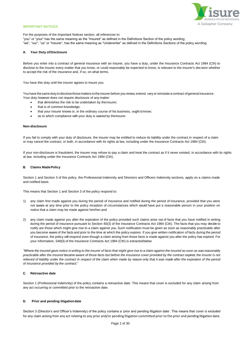

# **IMPORTANT NOTICES**

For the purposes of the Important Notices section, all references to: "you" or "your" has the same meaning as the "Insured" as defined in the Definitions Section of the policy wording; "we", "our", "us" or "Insurer", has the same meaning as "Underwriter" as defined in the Definitions Sections of the policy wording.

# **A** Your Duty of Disclosure

Before you enter into a contract of general insurance with an insurer, you have a duty, under the Insurance Contracts Act 1984 (Cth) to disclose to the insurer every matter that you know, or could reasonably be expected to know, is relevant to the insurer's decision whether to accept the risk of the insurance and, if so, on what terms.

You have this duty until the insurer agrees to insure you.

You have the same duty to disclose those matters to the insurer before you renew, extend, vary or reinstate a contract of general insurance. Your duty however does not require disclosure of any matter:

- that diminishes the risk to be undertaken by theinsurer;
- that is of common knowledge;
- that your insurer knows or, in the ordinary course of his business, ought toknow;
- as to which compliance with your duty is waived by theinsurer.

#### **Non-disclosure**

If you fail to comply with your duty of disclosure, the insurer may be entitled to reduce its liability under the contract in respect of a claim or may cancel the contract, or both, in accordance with its rights at law, including under the Insurance Contracts Act 1984 (Cth).

If your non-disclosure is fraudulent, the insurer may refuse to pay a claim and treat the contract as if it never existed, in accordance with its rights at law, including under the Insurance Contracts Act 1984 (Cth).

# **B. Claims MadePolicy**

Section 1 and Section 3 of this policy, the Professional Indemnity and Directors and Officers Indemnity sections, apply on a claims made and notified basis.

This means that Section 1 and Section 3 of the policy respond to:

- 1) any claim first made against you during the period of insurance and notified during the period of insurance, provided that you were not aware at any time prior to the policy inception of circumstances which would have put a reasonable person in your position on notice that a claim may be made against him/her;and
- 2) any claim made against you after the expiration of the policy provided such claims arise out of facts that you have notified in writing during the period of insurance pursuant to Section 40(3) of the Insurance Contracts Act 1984 (Cth). The facts that you may decide to notify are those which might give rise to a claim against you. Such notification must be given as soon as reasonably practicable after you become aware of the facts and prior to the time at which the policy expires. If you give written notification of facts during the period of insurance, the policy will respond even though a claim arising from those facts is made against you after the policy has expired. For your information, S40(3) of the Insurance Contracts Act 1984 (Cth) is extractedbelow:

"Where the insured gave notice in writing to the insurer of facts that might give rise to a claim against the insured as soon as was reasonably *practicable after the insured became aware of those facts but before the insurance cover provided by the contract expired, the insurer is not relieved of liability under the contract in respect of the claim when made by reason only that it was made after the expiration of the period of insurance provided by the contract."*

# **C. Retroactive date**

Section 1 (Professional Indemnity) of the policy contains a retroactive date. This means that cover is excluded for any claim arising from any act occurring or committed prior to the retroactive date.

#### **D. Prior and pending litigationdate**

Section 3 (Director's and Officer's Indemnity) of the policy contains a 'prior and pending litigation date'. This means that cover is excluded for any claim arising from any act relating to any prior and/or pending litigation committed prior to the prior and pending litigation date.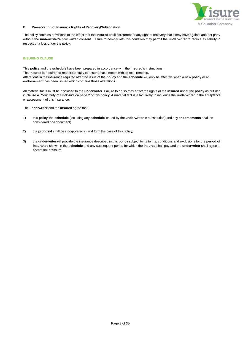

# **E. Preservation of Insurer's Rights ofRecovery/Subrogation**

The policy contains provisions to the effect that the **insured** shall not surrender any right of recovery that it may have against another party without the **underwriter's** prior written consent. Failure to comply with this condition may permit the **underwriter** to reduce its liability in respect of a loss under the policy.

# <span id="page-2-0"></span>**INSURING CLAUSE**

This **policy** and the **schedule** have been prepared in accordance with the **insured's** instructions. The **insured** is required to read it carefully to ensure that it meets with its requirements. Alterations in the insurance required after the issue of the **policy** and the **schedule** will only be effective when a new **policy** or an **endorsement** has been issued which contains those alterations.

All material facts must be disclosed to the **underwriter**. Failure to do so may affect the rights of the **insured** under the **policy** as outlined in clause A. Your Duty of Disclosure on page 2 of this **policy**. A material fact is a fact likely to influence the **underwriter** in the acceptance or assessment of this insurance.

The **underwriter** and the **insured** agree that:

- 1) this **policy,** the **schedule** (including any **schedule** issued by the **underwriter** in substitution) and any **endorsements** shall be considered one document;
- 2) the **proposal** shall be incorporated in and form the basis of this **policy**;
- 3) the **underwriter** will provide the insurance described in this **policy** subject to its terms, conditions and exclusions for the **period of insurance** shown in the **schedule** and any subsequent period for which the **insured** shall pay and the **underwriter** shall agree to accept the premium.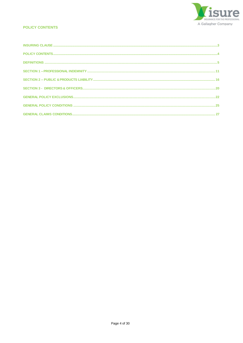

# <span id="page-3-0"></span>**POLICY CONTENTS**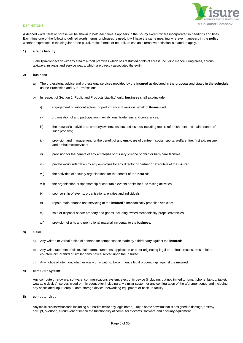

# <span id="page-4-0"></span>**DEFINITIONS**

A defined word, term or phrase will be shown in bold each time it appears in the **policy** except where incorporated in headings and titles. Each time one of the following defined words, terms or phrases is used, it will have the same meaning wherever it appears in the **policy** whether expressed in the singular or the plural, male, female or neutral, unless an alternative definition is stated to apply.

# **1) airside liability**

Liability in connection with any area of airport premises which has restricted rights of access, including manoeuvring areas, aprons, taxiways, runways and service roads, which are directly associated therewith.

# **2) business**

- a) The professional advice and professional services provided by the **insured** as declared in the **proposal** and stated in the **schedule**  as the Profession and Sub-Professions;
- b) In respect of Section 2 (Public and Products Liability) only, **business** shall also include:
	- i) engagement of subcontractors for performance of work on behalf of the**insured**;
	- ii) organisation of and participation in exhibitions, trade fairs andconferences;
	- iii) the *insured's* activities as property owners, lessors and lessees including repair, refurbishment and maintenance of such property;
	- iv) provision and management for the benefit of any **employee** of canteen, social, sports, welfare, fire, first aid, rescue and ambulance services;
	- v) provision for the benefit of any **employee** of nursery, crèche or child or baby care facilities;
	- vi) private work undertaken by any **employee** for any director or partner or executive of the**insured**;
	- vii) the activities of security organisations for the benefit of the**insured**;
	- viii) the organisation or sponsorship of charitable events or similar fund raising activities;
	- ix) sponsorship of events, organisations, entities and individuals;
	- x) repair, maintenance and servicing of the **insured**'s mechanically-propelled vehicles;
	- xi) sale or disposal of own property and goods including owned mechanically-propelledvehicles;
	- xii) provision of gifts and promotional material incidental to the**business**.

# **3) claim**

- a) Any written or verbal notice of demand for compensation made by a third party against the **insured**;
- b) Any writ, statement of claim, claim form, summons, application or other originating legal or arbitral process, cross-claim, counterclaim or third or similar party notice served upon the **insured**;
- c) Any notice of intention, whether orally or in writing, to commence legal proceedings against the **insured**.

# **4) computer System**

Any computer, hardware, software, communications system, electronic device (including, but not limited to, smart phone, laptop, tablet, wearable device), server, cloud or microcontroller including any similar system or any configuration of the aforementioned and including any associated input, output, data storage device, networking equipment or back up facility.

#### **5) computer virus**

Any malicious software code including but not limited to any logic bomb, Trojan horse or worm that is designed to damage, destroy, corrupt, overload, circumvent or impair the functionality of computer systems, software and ancillary equipment.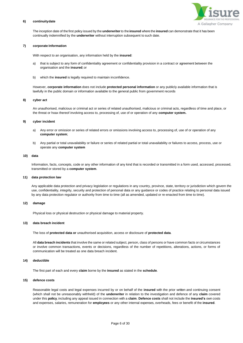# A Gallagher Company

#### **6) continuitydate**

The inception date of the first policy issued by the **underwriter**to the**insured** where the **insured** can demonstrate that it has been continually indemnified by the **underwriter** without interruption subsequent to such date.

#### **7) corporate Information**

With respect to an organisation, any information held by the **insured**:

- a) that is subject to any form of confidentiality agreement or confidentiality provision in a contract or agreement between the organisation and the **insured**; or
- b) which the **insured** is legally required to maintain inconfidence.

However, **corporate information** does not include **protected personal information** or any publicly available information that is lawfully in the public domain or information available to the general public from government records

#### **8) cyber act**

An unauthorised, malicious or criminal act or series of related unauthorised, malicious or criminal acts, regardless of time and place, or the threat or hoax thereof involving access to, processing of, use of or operation of any **computer system.**

# **9) cyber incident**

- a) Any error or omission or series of related errors or omissions involving access to, processing of, use of or operation of any **computer system**;
- b) Any partial or total unavailability or failure or series of related partial or total unavailability or failures to access, process, use or operate any **computer system**

#### **10) data**

Information, facts, concepts, code or any other information of any kind that is recorded or transmitted in a form used, accessed, processed, transmitted or stored by a **computer system**.

#### **11) data protection law**

Any applicable data protection and privacy legislation or regulations in any country, province, state, territory or jurisdiction which govern the use, confidentiality, integrity, security and protection of personal data or any guidance or codes of practice relating to personal data issued by any data protection regulator or authority from time to time (all as amended, updated or re-enacted from time to time).

# **12) damage**

Physical loss or physical destruction or physical damage to material property.

# **13) data breach incident**

The loss of **protected data or** unauthorised acquisition, access or disclosure of **protected data**.

All **data breach incidents** that involve the same or related subject, person, class of persons or have common facts or circumstances or involve common transactions, events or decisions, regardless of the number of repetitions, alterations, actions, or forms of communication will be treated as one data breach incident.

# **14) deductible**

The first part of each and every **claim** borne by the **insured** as stated in the **schedule**.

# **15) defence costs**

Reasonable legal costs and legal expenses incurred by or on behalf of the **insured** with the prior written and continuing consent (which shall not be unreasonably withheld) of the **underwriter** in relation to the investigation and defence of any **claim** covered under this **policy**, including any appeal issued in connection with a **claim**. **Defence costs** shall not include the **insured's** own costs and expenses, salaries, remuneration for **employees** or any other internal expenses, overheads, fees or benefit of the **insured**.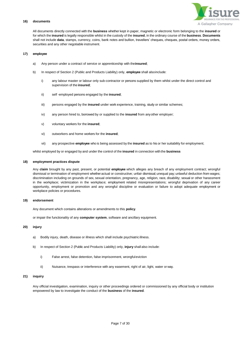

# **16) documents**

All documents directly connected with the **business** whether kept in paper, magnetic or electronic form belonging to the **insured** or for which the **insured** is legally responsible whilst in the custody of the **insured**, in the ordinary course of the **business**. **Documents**  shall not include **data**, stamps, currency, coins, bank notes and bullion, travellers' cheques, cheques, postal orders, money orders, securities and any other negotiable instrument.

# **17) employee**

- a) Any person under a contract of service or apprenticeship with the**insured**;
- b) In respect of Section 2 (Public and Products Liability) only, **employee** shall alsoinclude:
	- i) any labour master or labour only sub-contractor or persons supplied by them whilst under the direct control and supervision of the **insured**;
	- ii) self -employed persons engaged by the **insured**;
	- iii) persons engaged by the **insured** under work experience, training, study or similar schemes;
	- iv) any person hired to, borrowed by or supplied to the **insured** from anyother employer;
	- v) voluntary workers for the **insured**;
	- vi) outworkers and home workers for the **insured**;
	- vii) any prospective **employee** who is being assessed by the **insured** as to his or her suitability for employment;

whilst employed by or engaged by and under the control of the **insured** in connection with the **business**

#### **18) employment practices dispute**

Any **claim** brought by any past, present, or potential **employee** which alleges any breach of any employment contract; wrongful dismissal or termination of employment whether actual or constructive; unfair dismissal; unequal pay; unlawful deduction from wages; discrimination including on grounds of sex, sexual orientation, pregnancy, age, religion, race, disability; sexual or other harassment in the workplace; victimization in the workplace; employment related misrepresentations; wrongful deprivation of any career opportunity, employment or promotion and any wrongful discipline or evaluation or failure to adopt adequate employment or workplace policies or procedures.

#### **19) endorsement**

Any document which contains alterations or amendments to this **policy**.

or impair the functionality of any **computer system**, software and ancillary equipment.

# **20) injury**

- a) Bodily injury, death, disease or illness which shall include psychiatric illness.
- b) In respect of Section 2 (Public and Products Liability) only, **injury** shall also include:
	- i) False arrest, false detention, false imprisonment, wrongfuleviction
	- ii) Nuisance, trespass or interference with any easement, right of air, light, water or way.

# **21) inquiry**

Any official investigation, examination, inquiry or other proceedings ordered or commissioned by any official body or institution empowered by law to investigate the conduct of the **business** of the **insured**.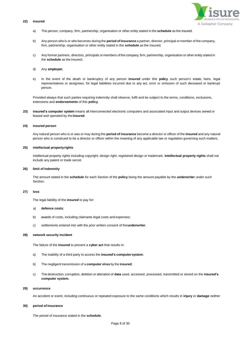#### **22) insured**



- a) The person, company, firm, partnership, organisation or other entity stated in the **schedule** as the Insured;
- b) Any person who is or who becomes during the **period ofinsurance** a partner, director, principal or member of the company, firm, partnership, organisation or other entity stated in the **schedule** as the Insured;
- c) Any former partners, directors, principals ormembers of the company, firm, partnership, organisation or other entity stated in the **schedule** as the Insured;
- d) Any **employee**;
- e) In the event of the death or bankruptcy of any person **insured** under this **policy**, such person's estate, heirs, legal representatives or assignees, for legal liabilities incurred due to any act, error or omission of such deceased or bankrupt person.

Provided always that such parties requiring indemnity shall observe, fulfil and be subject to the terms, conditions, exclusions, extensions and **endorsements** of this **policy**.

**23) insured's computer system** means all interconnected electronic computers and associated input and output devices owned or leased and operated by the**insured**.

# **24) insured person**

Any natural person who is or was or may during the **period of insurance** become a director or officer of the **insured** and any natural person who is construed to be a director or officer within the meaning of any applicable law or regulation governing such matters.

#### **25) intellectual propertyrights**

Intellectual property rights including copyright, design right, registered design or trademark. **Intellectual property rights** shall not include any patent or trade secret.

#### **26) limit of indemnity**

The amount stated in the **schedule** for each Section of the **policy** being the amount payable by the **underwriter** under such Section.

#### **27) loss**

The legal liability of the **insured** to pay for:

# a) **defence costs**;

- b) awards of costs, including claimants legal costs and expenses;
- c) settlements entered into with the prior written consent of the**underwriter**.

# **28) network security incident**

The failure of the **insured** to prevent a **cyber act** that results in:

- a) The inability of a third party to access the **insured's computersystem**;
- b) The negligent transmission of a **computer virus** by the **insured**;
- c) The destruction, corruption, deletion or alteration of **data** used, accessed, processed, transmitted or stored on the **insured's computer system.**

#### **29) occurrence**

An accident or event, including continuous or repeated exposure to the same conditions which results in **injury** or **damage** neither

#### **30) period of insurance**

The period of insurance stated in the **schedule**.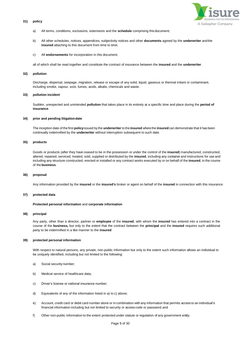# **31) policy**



- a) All terms, conditions, exclusions, extensions and the **schedule** comprising thisdocument;
- b) All other schedules, notices, appendices, subjectivity notices and other **documents** agreed by the **underwriter** andthe **insured** attaching to this document from time to time;
- c) All **endorsements** for incorporation in this document,

all of which shall be read together and constitute the contract of insurance between the **insured** and the **underwriter**.

#### **32) pollution**

Discharge, dispersal, seepage, migration, release or escape of any solid, liquid, gaseous or thermal irritant or contaminant, including smoke, vapour, soot, fumes, acids, alkalis, chemicals and waste.

#### **33) pollution incident**

Sudden, unexpected and unintended **pollution** that takes place in its entirety at a specific time and place during the **period of insurance**.

#### **34) prior and pending litigationdate**

The inception date of the first **policy**issued by the **underwriter** to the **insured** wherethe **insured**can demonstrate that it has been continually indemnified by the **underwriter** without interruption subsequent to such date.

# **35) products**

Goods or products (after they have ceased to be in the possession or under the control of the **insured**) manufactured, constructed, altered, repaired, serviced, treated, sold, supplied or distributed by the **insured**, including any container and instructions for use and including any structure constructed, erected or installed or any contract works executed by or on behalf of the **insured**, in the course of the **business**.

# **36) proposal**

Any information provided by the **insured** or the **insured's** broker or agent on behalf of the **insured** in connection with this insurance.

# **37) protected data**

#### **Protected personal information** and **corporate information**

# **38) principal**

Any party, other than a director, partner or **employee** of the **insured**, with whom the **insured** has entered into a contract in the course of the **business,** but only to the extent that the contract between the **principal** and the **insured** requires such additional party to be indemnified in a like manner to the **insured**

# **39) protected personal information**

With respect to natural persons, any private, non-public information but only to the extent such information allows an individual to be uniquely identified, including but not limited to the following:

- a) Social security number;
- b) Medical service of healthcare data;
- c) Driver's license or national insurance number;
- d) Equivalents of any of the information listed in a) to c) above;
- e) Account, credit card or debit card number alone or in combination with any information that permits access to an individual's financial information including but not limited to security or access code or password;and
- f) Other non-public information to the extent protected under statute or regulation of any government entity.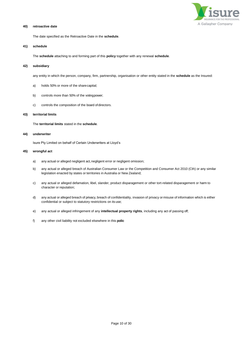

# **40) retroactive date**

The date specified as the Retroactive Date in the **schedule**.

# **41) schedule**

The **schedule** attaching to and forming part of this **policy** together with any renewal **schedule**.

#### **42) subsidiary**

any entity in which the person, company, firm, partnership, organisation or other entity stated in the **schedule** as the Insured:

- a) holds 50% or more of the sharecapital;
- b) controls more than 50% of the votingpower;
- c) controls the composition of the board of directors.

# **43) territorial limits**

The **territorial limits** stated in the **schedule**.

# **44) underwriter**

Isure Pty Limited on behalf of Certain Underwriters at Lloyd's

# **45) wrongful act**

- a) any actual or alleged negligent act, negligent error or negligent omission;
- b) any actual or alleged breach of Australian Consumer Law or the Competition and Consumer Act 2010 (Cth) or any similar legislation enacted by states or territories in Australia or New Zealand;
- c) any actual or alleged defamation, libel, slander, product disparagement or other tort-related disparagement or harm to character or reputation;
- d) any actual or alleged breach of privacy, breach of confidentiality, invasion of privacy or misuse of information which is either confidential or subject to statutory restrictions on its use;
- e) any actual or alleged infringement of any **intellectual property rights**, including any act of passing off;
- f) any other civil liability not excluded elsewhere in this **polic**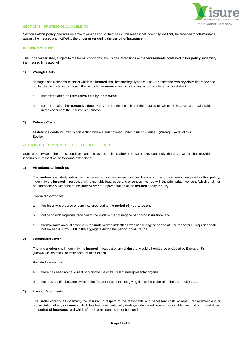

#### <span id="page-10-0"></span>**SECTION 1 – PROFESSIONAL INDEMNITY**

Section 1 of this **policy** operates on a 'claims-made and notified' basis. This means that indemnity shall only be provided for **claims**made against the **insured** and notified to the **underwriter** during the **period of insurance**.

# **INSURING CLAUSE**

The **underwriter** shall, subject to the terms, conditions, exclusions, extensions and **endorsements** contained in this **policy**, indemnify the **insured** in respect of:

# **1) Wrongful Acts**

damages and claimants' costs for which the **insured** shall become legally liable to pay in connection with any **claim** first made and notified to the **underwriter** during the **period of insurance** arising out of any actual or alleged **wrongful act**:

- a) committed after the **retroactive date** by the**insured**;
- b) committed after the **retroactive date** by any party acting on behalf of the **insured** for whom the **insured** are legally liable, in the conduct of the **insured'sbusiness**.

# **2) Defence Costs**

all **defence costs** incurred in connection with a **claim** covered under Insuring Clause 1 (Wrongful Acts) of this **Section** 

#### AUTOMATIC EXTENSIONS OF COVER UNDER SECTION 1

Subject otherwise to the terms, conditions and exclusions of this **policy**, in so far as they can apply, the **underwriter** shall provide indemnity in respect of the following extensions:

#### **1) Attendance at Inquiries**

The **underwriter** shall, subject to the terms, conditions, extensions, exclusions and **endorsements** contained in this **policy**, indemnify the **insured** in respect of all reasonable legal costs and expenses incurred with the prior written consent (which shall not be unreasonably withheld) of the **underwriter** for representation of the **insured** at any **inquiry**.

Provided always that:

- a) the **inquiry** is ordered or commissioned during the **period of insurance**;and
- b) notice of such **inquiry**is provided to the **underwriter** during the **period of insurance**; and
- c) themaximum amount payable by the **underwriter** under this Extension during the **period ofinsurance**for all **inquiries**shall not exceed AUD250,000 in the aggregate during the **period ofinsurance**.

# **2) Continuous Cover**

The **underwriter** shall indemnify the **insured** in respect of any **claim** that would otherwise be excluded by Exclusion 5) (Known Claims and Circumstances) of this Section.

Provided always that:

- a) there has been no fraudulent non-disclosure or fraudulent misrepresentation;and
- b) the **insured** first became aware of the facts or circumstances giving rise to the **claim** after the **continuitydate**.

# **3) Loss of Documents**

The **underwriter** shall indemnify the **insured** in respect of the reasonable and necessary costs of repair, replacement and/or reconstitution of any **document** which has been unintentionally destroyed, damaged beyond reasonable use, lost or mislaid during the **period of insurance** and which after diligent search cannot be found.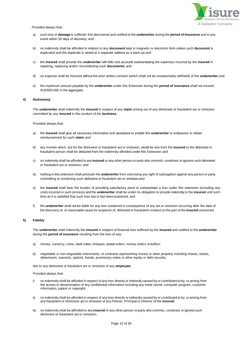

Provided always that:

- a) such loss or **damage** is suffered, first discovered and notified to the **underwriter** during the **period of insurance** and in any event within 30 days of discovery; and
- b) no indemnity shall be afforded in relation to any **document** kept in magnetic or electronic form unless such **document** is duplicated and the duplicate is stored at a separate address as a back-up;and
- c) the **insured** shall provide the **underwriter** with bills and accounts substantiating the expenses incurred by the **insured** in repairing, replacing and/or reconstituting such **documents**; and
- d) no expense shall be incurred without the prior written consent (which shall not be unreasonably withheld) of the **underwriter**;and
- e) the maximum amount payable by the **underwriter** under this Extension during the **period of insurance** shall not exceed AUD500,000 in the aggregate.

#### **4) Dishonesty**

The **underwriter** shall indemnify the **insured** in respect of any **claim** arising out of any dishonest or fraudulent act or omission committed by any **insured** in the conduct of the **business**.

Provided always that:

- a) the **insured** shall give all necessary information and assistance to enable the **underwriter** to endeavour to obtain reimbursement for such **claim**; and
- b) any monies which, but for the dishonest or fraudulent act or omission, would be due from the **insured** to the dishonest or fraudulent person shall be deducted from the indemnity afforded under this Extension; and
- c) no indemnity shall be afforded to any **insured** or any other person or party who commits, condones or ignores such dishonest or fraudulent act or omission; and
- d) nothing in this extension shall preclude the **underwriter** from exercising any right of subrogation against any person or party committing or condoning such dishonest or fraudulent act or omission;and
- e) the **insured** shall bear the burden of providing satisfactory proof to substantiate a loss under this extension (including any costs incurred in such process) and the **underwriter** shall be under no obligation to provide indemnity to the **insured** until such time as it is satisfied that such loss has in fact beensustained; and
- f) the **underwriter** shall not be liable for any loss sustained in consequence of any act or omission occurring after the date of the discovery of, or reasonable cause for suspicion of, dishonest or fraudulent conduct on the part of the **insured** concerned.

#### **5) Fidelity**

The **underwriter** shall indemnify the **insured** in respect of financial loss suffered by the **insured** and notified to the **underwriter** during the **period of insurance** resulting from the loss of any:

- a) money, currency, coins, bank notes, cheques, postal orders, money orders orbullion;
- b) negotiable or non-negotiable instruments, or contracts representing money or other property including shares, stocks, debentures, warrants, options, bonds, promissory notes or other equity or debt security;

due to any dishonest or fraudulent act or omission of any **employee**;

Provided always that:

- no indemnity shall be afforded in respect of any loss directly or indirectly caused by or contributed to by, or arising from the access or dissemination of any confidential information including any trade secret, computer program, customer information, patent or copyright;
- ii) no indemnity shall be afforded in respect of any loss directly or indirectly caused by or contributed to by, or arising from any fraudulent or dishonest act or omission of any Partner, Principal or Director of the **insured**;
- iii) no indemnity shall be afforded to any **insured** or any other person or party who commits, condones or ignores such dishonest or fraudulent act or omission;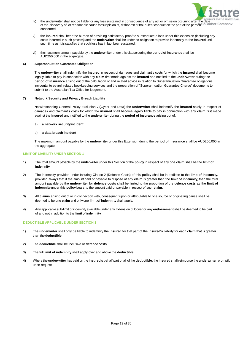

- iv) the **underwriter** shall not be liable for any loss sustained in consequence of any act or omission occurring after the date of the discovery of, or reasonable cause for suspicion of, dishonest or fraudulent conduct on the part of the person concerned;
- v) the **insured** shall bear the burden of providing satisfactory proof to substantiate a loss under this extension (including any costs incurred in such process) and the **underwriter** shall be under no obligation to provide indemnity to the **insured** until such time as it is satisfied that such loss has in fact been sustained;
- vi) the maximum amount payable by the **underwriter** under this clause during the **period of insurance** shall be AUD250,000 in the aggregate.

# **6) Superannuation Guarantee Obligation**

The **underwriter** shall indemnify the **insured** in respect of damages and claimant's costs for which the **insured** shall become legally liable to pay in connection with any **claim** first made against the **insured** and notified to the **underwriter** during the **period of insurance** arising out of the calculation of and related advice in relation to Superannuation Guarantee obligations incidental to payroll related bookkeeping services and the preparation of "Superannuation Guarantee Charge" documents to submit to the Australian Tax Office for lodgement.

# **7) Network Security and Privacy BreachLiability**

Notwithstanding General Policy Exclusion 7)(Cyber and Data) the **underwriter** shall indemnify the **insured** solely in respect of damages and claimant's costs for which the **insured** shall become legally liable to pay in connection with any **claim** first made against the **insured** and notified to the **underwriter** during the **period of insurance** arising out of:

# a) a **network securityincident**;

# b) a **data breach incident**

The maximum amount payable by the **underwriter** under this Extension during the **period of insurance** shall be AUD250,000 in the aggregate.

# **LIMIT OF LIABILITY UNDER SECTION 1**

- 1) The total amount payable by the **underwriter** under this Section of the **policy** in respect of any one **claim** shall be the **limit of indemnity**.
- 2) The indemnity provided under Insuring Clause 2 (Defence Costs) of this **policy** shall be in addition to the **limit of indemnity**, provided always that if the amount paid or payable to dispose of any **claim** is greater than the **limit of indemnity**, then the total amount payable by the **underwriter** for **defence costs** shall be limited to the proportion of the **defence costs** as the **limit of indemnity** under this **policy** bears to the amount paid or payable in respect of such**claim**.
- 3) All **claims** arising out of or in connection with, consequent upon or attributable to one source or originating cause shall be deemed to be one **claim** and only one **limit of indemnity**shall apply.
- 4) Any applicable sub-limit of indemnityavailable under any Extension of Cover or any **endorsement** shall be deemed to be part of and not in addition to the **limit of indemnity**.

# **DEDUCTIBLE APPLICABLE UNDER SECTION 1**

- 1) The **underwriter** shall only be liable to indemnify the **insured** for that part of the **insured's** liability for each **claim** that is greater than the **deductible**.
- 2) The **deductible** shall be inclusive of **defence costs**.
- 3) The full **limit of indemnity** shall apply over and above the **deductible**.
- **4)** Where the **underwriter** has paid on the **insured's** behalf part or all of the **deductible**, the **insured** shall reimburse the **underwriter** promptly upon request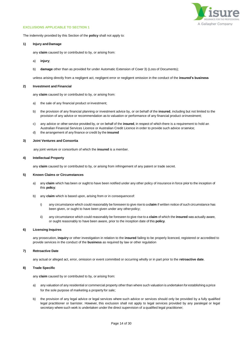

#### **EXCLUSIONS APPLICABLE TO SECTION 1**

The indemnity provided by this Section of the **policy** shall not apply to:

#### **1) Injury andDamage**

any **claim** caused by or contributed to by, or arising from:

- a) **injury**;
- b) **damage** other than as provided for under Automatic Extension of Cover 3) (Loss of Documents);

unless arising directly from a negligent act, negligent error or negligent omission in the conduct of the **insured's business**

# **2) Investment and Financial**

any **claim** caused by or contributed to by, or arising from:

- a) the sale of any financial product or investment;
- b) the provision of any financial planning or investment advice by, or on behalf of the **insured**, including but not limited to the provision of any advice or recommendation as to valuation or performance of any financial product orinvestment;
- c) any advice or other service provided by, or on behalf of the **insured**, in respect of which there is a requirement to hold an Australian Financial Services Licence or Australian Credit Licence in order to provide such advice orservice;
- d) the arrangement of any finance or credit by the **insured**

# **3) Joint Ventures and Consortia**

any joint venture or consortium of which the **insured** is a member.

#### **4) Intellectual Property**

any **claim** caused by or contributed to by, or arising from infringement of any patent or trade secret.

#### **5) Known Claims or Circumstances**

- a) any **claim** which has been or ought to have been notified under any other policy of insurance in force prior to the inception of this **policy**;
- b) any **claim** which is based upon, arising from or in consequenceof:
	- i) any circumstance which could reasonably be foreseen to give rise to a **claim** if written notice of such circumstance has been given, or ought to have been given under any otherpolicy;
	- ii) any circumstance which could reasonably be foreseen to give rise to a **claim** of which the **insured** was actually aware, or ought reasonably to have been aware, prior to the inception date of this **policy**.

#### **6) Licensing Inquires**

any prosecution, **inquiry** or other investigation in relation to the **insured** failing to be properly licenced, registered or accredited to provide services in the conduct of the **business** as required by law or other regulation

# **7) Retroactive Date**

any actual or alleged act, error, omission or event committed or occurring wholly or in part prior to the **retroactive date**.

#### **8) Trade Specific**

any **claim** caused by or contributed to by, or arising from:

- a) any valuation of any residential or commercial property other than where such valuation is undertaken for establishing a price for the sole purpose of marketing a property for sale;
- b) the provision of any legal advice or legal services where such advice or services should only be provided by a fully qualified legal practitioner or barrister. However, this exclusion shall not apply to legal services provided by any paralegal or legal secretary where such work is undertaken under the direct supervision of a qualified legal practitioner;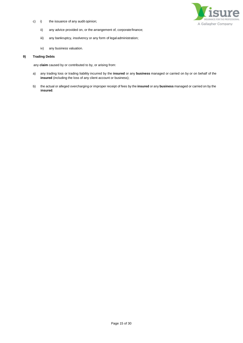c) i) the issuance of any audit opinion;



- ii) any advice provided on, or the arrangement of, corporatefinance;
- iii) any bankruptcy, insolvency or any form of legal administration;
- iv) any business valuation.

# **9) Trading Debts**

any **claim** caused by or contributed to by, or arising from:

- a) any trading loss or trading liability incurred by the **insured** or any **business** managed or carried on by or on behalf of the **insured** (including the loss of any client account or business);
- b) the actual or alleged overcharging or improper receipt of fees by the **insured** or any **business** managed or carried on by the **insured**.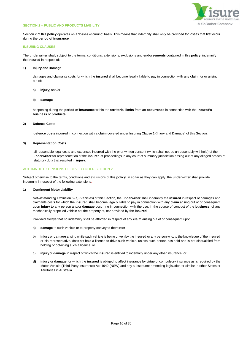

# **SECTION 2 – PUBLIC AND PRODUCTS LIABILITY**

Section 2 of this **policy** operates on a 'losses occurring' basis. This means that indemnity shall only be provided for losses that first occur during the **period of insurance**.

# **INSURING CLAUSES**

The **underwriter** shall, subject to the terms, conditions, extensions, exclusions and **endorsements** contained in this **policy**, indemnify the **insured** in respect of:

#### **1) Injury andDamage**

damages and claimants costs for which the **insured** shall become legally liable to pay in connection with any **claim** for or arising out of:

- a) **injury**; and/or
- b) **damage**;

happening during the **period of insurance** within the **territorial limits** from an **occurrence** in connection with the **insured's business** or **products**.

# **2) Defence Costs**

**defence costs** incurred in connection with a **claim** covered under Insuring Clause 1)(Injury and Damage) of this Section.

# **3) Representation Costs**

all reasonable legal costs and expenses incurred with the prior written consent (which shall not be unreasonably withheld) of the **underwriter** for representation of the **insured** at proceedings in any court of summary jurisdiction arising out of any alleged breach of statutory duty that resulted in **injury**.

# AUTOMATIC EXTENSIONS OF COVER UNDER SECTION 2

Subject otherwise to the terms, conditions and exclusions of this **policy**, in so far as they can apply, the **underwriter** shall provide indemnity in respect of the following extensions:

#### **1) Contingent MotorLiability**

Notwithstanding Exclusion 6) a) (Vehicles) of this Section, the **underwriter** shall indemnify the **insured** in respect of damages and claimants costs for which the **insured** shall become legally liable to pay in connection with any **claim** arising out of or consequent upon **injury** to any person and/or **damage** occurring in connection with the use, in the course of conduct of the **business**, of any mechanically propelled vehicle not the property of, nor provided by the **insured**.

Provided always that no indemnity shall be afforded in respect of any **claim** arising out of or consequent upon:

- a) **damage** to such vehicle or to property conveyed therein;or
- b) **injury** or **damage** arising while such vehicle is being driven by the **insured** or any person who, to the knowledge of the **insured**  or his representative, does not hold a licence to drive such vehicle, unless such person has held and is not disqualified from holding or obtaining such a licence; or
- c) **injury**or **damage** in respect of which the **insured** is entitled to indemnity under any other insurance; or
- **d) injury** or **damage** for which the **insured** is obliged to affect insurance by virtue of compulsory insurance as is required by the Motor Vehicle (Third Party Insurance) Act 1942 (NSW) and any subsequent amending legislation or similar in other States or Territories in Australia.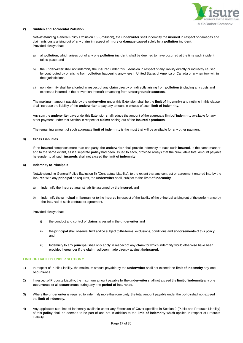

# **2) Sudden and Accidental Pollution**

Notwithstanding General Policy Exclusion 16) (Pollution), the **underwriter** shall indemnify the **insured** in respect of damages and claimants costs arising out of any **claim** in respect of **injury** or **damage** caused solely by a **pollution incident**. Provided always that:

- a) all **pollution**, which arises out of any one **pollution incident**, shall be deemed to have occurred at the time such incident takes place; and
- b) the **underwriter** shall not indemnify the **insured** under this Extension in respect of any liability directly or indirectly caused by contributed by or arising from **pollution** happening anywhere in United States of America or Canada or any territory within their jurisdictions.
- c) no indemnity shall be afforded in respect of any **claim** directly or indirectly arising from **pollution** (including any costs and expenses incurred in the prevention thereof) emanating from **underground resources**.

The maximum amount payable by the **underwriter** under this Extension shall be the **limit of indemnity** and nothing in this clause shall increase the liability of the **underwriter** to pay any amount in excess of such **limit of indemnity**.

Any sum the **underwriter** pays underthis Extension shall reduce the amount of the aggregate **limit of indemnity** available for any other payment under this Section in respect of **claims** arising out of the **insured'sproducts**.

The remaining amount of such aggregate **limit of indemnity** is the most that will be available for any other payment.

#### **3) Cross Liabilities**

If the **insured** comprises more than one party, the **underwriter** shall provide indemnity to each such **insured**, in the same manner and to the same extent, as if a separate **policy** had been issued to each, provided always that the cumulative total amount payable hereunder to all such **insureds** shall not exceed the **limit of indemnity**.

# **4) Indemnity toPrincipals**

Notwithstanding General Policy Exclusion 5) (Contractual Liability), to the extent that any contract or agreement entered into by the **insured** with any **principal** so requires, the **underwriter** shall, subject to the **limit of indemnity**:

- a) indemnify the **insured** against liability assumed by the **insured**;and
- b) indemnify the **principal** in likemanner to the **insured** in respect of the liability of the **principal** arising out of the performance by the **insured** of such contract oragreement.

Provided always that:

- i) the conduct and control of **claims** is vested in the **underwriter**;and
- ii) the **principal** shall observe, fulfil andbe subject to the terms, exclusions, conditions and **endorsements** of this **policy**; and
- iii) Indemnity to any **principal** shall only apply in respect of any **claim** for which indemnity would otherwise have been provided hereunder if the **claim** had been made directly against the**insured**.

# **LIMIT OF LIABILITY UNDER SECTION 2**

- 1) In respect of Public Liability, the maximum amount payable by the **underwriter** shall not exceed the **limit of indemnity** any one **occurrence**.
- 2) In respect of Products Liability, the maximum amount payable by the **underwriter** shall not exceed the **limit of indemnity**any one **occurrence** or all **occurrences** during any one **period of insurance**.
- 3) Where the **underwriter** is required to indemnify more than one party, the total amount payable under the **policy**shall not exceed the **limit of indemnity**.
- 4) Any applicable sub-limit of indemnity available under any Extension of Cover specified in Section 2 (Public and Products Liability) of this **policy** shall be deemed to be part of and not in addition to the **limit of indemnity** which applies in respect of Products Liability.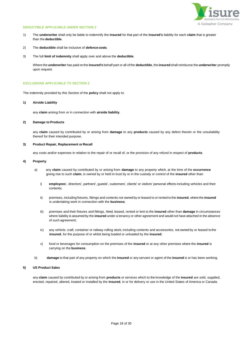

# **DEDUCTIBLE APPLICABLE UNDER SECTION 2**

- 1) The **underwriter** shall only be liable to indemnify the **insured** for that part of the **insured's** liability for each **claim** that is greater than the **deductible**.
- 2) The **deductible** shall be inclusive of **defence costs**.
- 3) The full **limit of indemnity** shall apply over and above the **deductible**.

Where the **underwriter** has paid on the **insured's** behalf part or all of the **deductible**, the **insured** shall reimburse the **underwriter** promptly upon request.

#### **EXCLUSIONS APPLICABLE TO SECTION 2**

The indemnity provided by this Section of the **policy** shall not apply to:

#### **1) Airside Liability**

any **claim** arising from or in connection with **airside liability**.

#### **2) Damage to Products**

any **claim** caused by contributed by or arising from **damage** to any **products** caused by any defect therein or the unsuitability thereof for their intended purpose.

# **3) Product Repair, Replacement orRecall**

any costs and/or expenses in relation to the repair of or recall of, or the provision of any refund in respect of **products**.

## **4) Property**

- a) any **claim** caused by contributed by or arising from **damage** to any property which, at the time of the **occurrence** giving rise to such **claim**, is owned by or held in trust by or in the custody or control of the **insured** other than:
	- i) **employees**', directors', partners', guests', customers', clients' or visitors' personal effects including vehicles and their contents;
	- ii) premises, including fixtures, fittings and contents not owned by or leased to or rented to the **insured**, wherethe **insured** is undertaking work in connection with the **business**;
	- iii) premises and their fixtures and fittings, hired, leased, rented or lent to the **insured** other than **damage** in circumstances where liability is assumed by the **insured** under a tenancy or other agreement and would not have attached in the absence of such agreement;
	- iv) any vehicle, craft, container or railway rolling stock, including contents and accessories, not owned by or leased tothe  **insured**, for the purpose of or whilst being loaded or unloaded by the **insured**;
	- v) food or beverages for consumption on the premises of the **insured** or at any other premises where the **insured** is carrying on the **business**.
- b) **damage** to that part of any property on which the **insured** or any servant or agent of the **insured** is or has been working.

# **5) US Product Sales**

any **claim** caused by contributed by or arising from **products** or services which to the knowledge of the **insured** are sold, supplied, erected, repaired, altered, treated or installed by the **insured**, in or for delivery or use in the United States of America or Canada.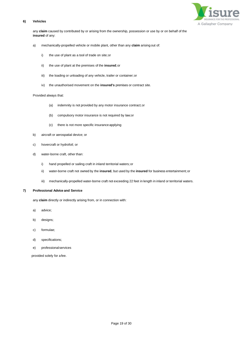# **6) Vehicles**



any **claim** caused by contributed by or arising from the ownership, possession or use by or on behalf of the **insured** of any:

- a) mechanically-propelled vehicle or mobile plant, other than any **claim** arising out of:
	- i) the use of plant as a tool of trade on site;or
	- ii) the use of plant at the premises of the **insured**;or
	- iii) the loading or unloading of any vehicle, trailer or container; or
	- iv) the unauthorised movement on the **insured's** premises or contract site.

# Provided always that:

- (a) indemnity is not provided by any motor insurance contract;or
- (b) compulsory motor insurance is not required by law;or
- (c) there is not more specific insurance applying
- b) aircraft or aerospatial device; or
- c) hovercraft or hydrofoil; or
- d) water-borne craft, other than:
	- i) hand propelled or sailing craft in inland territorial waters;or
	- ii) water-borne craft not owned by the **insured**, but used by the **insured** for business entertainment;or
	- iii) mechanically-propelled water-borne craft not exceeding 22 feet in length in inland or territorial waters.

# **7) Professional Advice and Service**

any **claim** directly or indirectly arising from, or in connection with:

- a) advice;
- b) designs;
- c) formulae;
- d) specifications;
- e) professionalservices

provided solely for afee.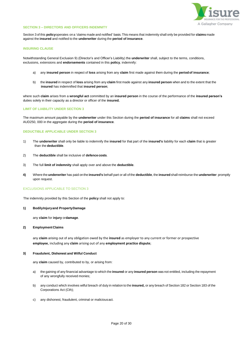

#### **SECTION 3 – DIRECTORS AND OFFICERS INDEMNITY**

Section 3 of this **policy**operates on a 'claims made and notified' basis.This means that indemnity shall only be provided for **claims** made against the **insured** and notified to the **underwriter** during the **period of insurance**.

#### **INSURING CLAUSE**

Notwithstanding General Exclusion 9) (Director's and Officer's Liability) the **underwriter** shall, subject to the terms, conditions, exclusions, extensions and **endorsements** contained in this **policy**, indemnify:

- a) any **insured person** in respect of **loss** arising from any **claim** first made against them during the **periodof insurance**;
- b) the **insured** in respect of **loss** arising from any **claim** first made against any **insured person** when and to the extent that the **insured** has indemnified that **insured person**;

where such **claim** arises from a **wrongful act** committed by an **insured person** in the course of the performance of the **insured person's** duties solely in their capacity as a director or officer of the **insured.**

# **LIMIT OF LIABILITY UNDER SECTION 3**

The maximum amount payable by the **underwriter** under this Section during the **period of insurance** for all **claims** shall not exceed AUD250, 000 in the aggregate during the **period of insurance**.

#### **DEDUCTIBLE APPLICABLE UNDER SECTION 3**

- 1) The **underwriter** shall only be liable to indemnify the **insured** for that part of the **insured's** liability for each **claim** that is greater than the **deductible**.
- 2) The **deductible** shall be inclusive of **defence costs**.
- 3) The full **limit of indemnity** shall apply over and above the **deductible**.
- **4)** Where the **underwriter** has paid on the **insured's** behalf part or all of the **deductible**, the **insured** shall reimburse the **underwriter** promptly upon request.

#### EXCLUSIONS APPLICABLE TO SECTION 3

The indemnity provided by this Section of the **policy** shall not apply to:

#### **1) BodilyInjuryand PropertyDamage**

any **claim** for **injury** or**damage**.

# **2) EmploymentClaims**

any **claim** arising out of any obligation owed by the **insured** as employer to any current or former or prospective **employee**, including any **claim** arising out of any **employment practice dispute**;

#### **3) Fraudulent, Dishonest and Wilful Conduct**

any **claim** caused by, contributed to by, or arising from:

- a) the gaining of any financial advantage to which the **insured** or any **insured person** was not entitled, including the repayment of any wrongfully received monies;
- b) any conduct which involves wilful breach of duty in relation to the **insured,** or any breach of Section 182 or Section 183 of the Corporations Act (Cth);
- c) any dishonest, fraudulent, criminal or maliciousact.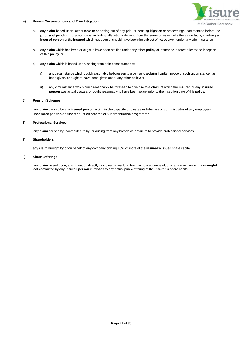

# **4) Known Circumstances and Prior Litigation**

- a) any **claim** based upon, attributable to or arising out of any prior or pending litigation or proceedings, commenced before the **prior and pending litigation date**, including allegations deriving from the same or essentially the same facts, involving an **insured person** or the **insured** which has been or should have been the subject of notice given under any prior insurance;
- b) any **claim** which has been or ought to have been notified under any other **policy** of insurance in force prior to the inception of this **policy**; or
- c) any **claim** which is based upon, arising from or in consequenceof:
	- i) any circumstance which could reasonably be foreseen to give rise to a **claim** if written notice of such circumstance has been given, or ought to have been given under any other policy;or
	- ii) any circumstance which could reasonably be foreseen to give rise to a **claim** of which the **insured** or any **insured person** was actually aware, or ought reasonably to have been aware, prior to the inception date of this **policy**.

#### **5) Pension Schemes**

any **claim** caused by any **insured person** acting in the capacity of trustee or fiduciary or administrator of any employersponsored pension or superannuation scheme or superannuation programme.

# **6) Professional Services**

any **claim** caused by, contributed to by, or arising from any breach of, or failure to provide professional services.

# **7) Shareholders**

any **claim** brought by or on behalf of any company owning 15% or more of the **insured's** issued share capital.

# **8) Share Offerings**

any **claim** based upon, arising out of, directly or indirectly resulting from, in consequence of, or in any way involving a **wrongful act** committed by any **insured person** in relation to any actual public offering of the **insured's** share capita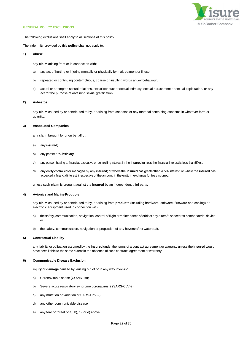

#### <span id="page-21-0"></span>**GENERAL POLICY EXCLUSIONS**

The following exclusions shall apply to all sections of this policy.

The indemnity provided by this **policy** shall not apply to:

### **1) Abuse**

any **claim** arising from or in connection with:

- a) any act of hurting or injuring mentally or physically by maltreatment or ill use;
- b) repeated or continuing contemptuous, coarse or insulting words and/or behaviour;
- c) actual or attempted sexual relations, sexual conduct or sexual intimacy, sexual harassment or sexual exploitation, or any act for the purpose of obtaining sexual gratification.

# **2) Asbestos**

any **claim** caused by or contributed to by, or arising from asbestos or any material containing asbestos in whatever form or quantity.

# **3) Associated Companies**

any **claim** brought by or on behalf of:

- a) any **insured**;
- b) any parent or**subsidiary**;
- c) any person having a financial, executive or controllinginterest in the **insured** (unless the financial interest is less than 5%);or
- d) any entity controlled or managed by any **insured**; or where the **insured** has greater than a 5% interest, or where the **insured** has accepted a financial interest, irrespective of the amount, in the entity in exchange for fees incurred,

unless such **claim** is brought against the **insured** by an independent third party.

# **4)** Avionics and Marine Products

any **claim** caused by or contributed to by, or arising from **products** (including hardware, software, firmware and cabling) or electronic equipment used in connection with:

- a) the safety, communication, navigation, control of flight ormaintenance of orbit of any aircraft, spacecraft or other aerial device; or
- b) the safety, communication, navigation or propulsion of any hovercraft or watercraft.

# **5) Contractual Liability**

any liability or obligation assumed by the **insured** under the terms of a contract agreement or warranty unless the **insured** would have been liable to the same extent in the absence of such contract, agreement or warranty.

# **6) Communicable Disease Exclusion**

**injury** or **damage** caused by, arising out of or in any way involving:

- a) Coronavirus disease (COVID-19);
- b) Severe acute respiratory syndrome coronavirus 2 (SARS-CoV-2);
- c) any mutation or variation of SARS-CoV-2);
- d) any other communicable disease;
- e) any fear or threat of a), b), c), or d) above.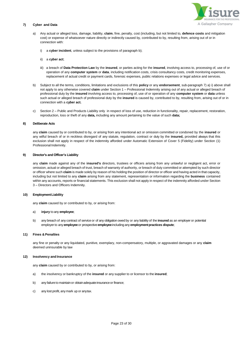

# **7) Cyber and Data**

- a) Any actual or alleged loss, damage, liability, **claim**, fine, penalty, cost (including, but not limited to, **defence costs** and mitigation cost) or expense of whatsoever nature directly or indirectly caused by, contributed to by, resulting from, arising out of or in connection with:
	- i) a **cyber incident**, unless subject to the provisions of paragraph b);
	- ii) a **cyber act**;
	- iii) a breach of **Data Protection Law** by the **insured**, or parties acting for the **insured**, involving access to, processing of, use of or operation of any **computer system** or **data**, including notification costs, crisis consultancy costs, credit monitoring expenses, replacement of actual credit or payment cards, forensic expenses, public relations expenses or legal advice and services.
- b) Subject to all the terms, conditions, limitations and exclusions of this **policy** or any **endorsement**, sub-paragraph 7) a) i) above shall not apply to any otherwise covered **claim** under Section 1 – Professional Indemnity arising out of any actual or alleged breach of professional duty by the **insured** involving access to, processing of, use of or operation of any **computer system** or **data** unless such actual or alleged breach of professional duty by the **insured** is caused by, contributed to by, resulting from, arising out of or in connection with a **cyber act.**
- c) Section 2 Public and Products Liability only in respect of loss of use, reduction in functionality, repair, replacement, restoration, reproduction, loss or theft of any **data,** including any amount pertaining to the value of such **data;**

# **8) Deliberate Acts**

any **claim** caused by or contributed to by, or arising from any intentional act or omission committed or condoned by the **insured** or any wilful breach of or in reckless disregard of any statute, regulation, contract or duty by the **insured,** provided always that this exclusion shall not apply in respect of the indemnity afforded under Automatic Extension of Cover 5 (Fidelity) under Section (1) Professional Indemnity.

#### **9) Director's and Officer's Liability**

any **claim** made against any of the **insured's** directors, trustees or officers arising from any unlawful or negligent act, error or omission, actual or alleged breach of trust, breach of warranty of authority, or breach of duty committed or attempted by such director or officer where such **claim** is made solely by reason of his holding the position of director or officer and having acted in that capacity, including but not limited to any **claim** arising from any statement, representation or information regarding the **business** contained within any accounts, reports or financial statements. This exclusion shall not apply in respect of the indemnity afforded under Section 3 – Directors and Officers Indemnity.

# **10) EmploymentLiability**

any **claim** caused by or contributed to by, or arising from:

# a) **injury** to any **employee**;

b) any breach of any contract of service or of any obligation owed by or any liability of the **insured** as an employer or potential employerto any **employee** or prospective**employee**including any **employmentpractices dispute**;

# **11) Fines & Penalties**

any fine or penalty or any liquidated, punitive, exemplary, non-compensatory, multiple, or aggravated damages or any **claim** deemed uninsurable by law

#### **12) Insolvency and Insurance**

any **claim** caused by or contributed to by, or arising from:

- a) the insolvency or bankruptcy of the **insured** or any supplier to or licensor to the **insured**;
- b) any failure to maintain or obtain adequate insurance or finance;
- c) any lost profit, any mark up or anytax.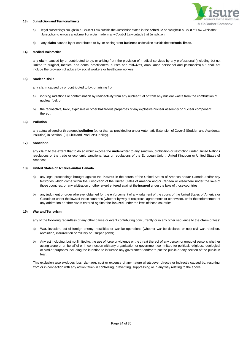

#### **13) Jurisdiction and Territorial limits**

- a) legal proceedings brought in a Court of Law outside the Jurisdiction stated in the **schedule** or brought in a Court of Law within that Jurisdictionto enforce a judgment or ordermade in any Court of Law outside that Jurisdiction;
- b) any **claim** caused by or contributed to by, or arising from **business** undertaken outside the **territorial limits**.

# **14) MedicalMalpractice**

any **claim** caused by or contributed to by, or arising from the provision of medical services by any professional (including but not limited to surgical, medical and dental practitioners, nurses and midwives, ambulance personnel and paramedics) but shall not include the provision of advice by social workers or healthcare workers.

# **15) Nuclear Risks**

any **claim** caused by or contributed to by, or arising from:

- a) ionising radiations or contamination by radioactivity from any nuclear fuel or from any nuclear waste from the combustion of nuclear fuel; or
- b) the radioactive, toxic, explosive or other hazardous properties of any explosive nuclear assembly or nuclear component thereof.

#### **16) Pollution**

any actual alleged or threatened **pollution** (other than as provided for under Automatic Extension of Cover 2 (Sudden and Accidental Pollution) in Section 2) (Public and Products Liability).

#### **17) Sanctions**

any **claim** to the extent that to do so would expose the **underwriter** to any sanction, prohibition or restriction under United Nations resolutions or the trade or economic sanctions, laws or regulations of the European Union, United Kingdom or United States of America;

#### **18) United States of America and/or Canada**

- a) any legal proceedings brought against the **insured** in the courts of the United States of America and/or Canada and/or any territories which come within the jurisdiction of the United States of America and/or Canada or elsewhere under the laws of those countries, or any arbitration or other award entered against the **insured** under the laws of those countries;
- b) any judgment or order wherever obtained for the enforcement of any judgment of the courts of the United States of America or Canada or under the laws of those countries (whether by way of reciprocal agreements or otherwise), or for the enforcement of any arbitration or other award entered against the **insured** under the laws of those countries.

# **19) War and Terrorism**

any of the following regardless of any other cause or event contributing concurrently or in any other sequence to the **claim** or loss:

- a) War, invasion, act of foreign enemy, hostilities or warlike operations (whether war be declared or not) civil war, rebellion, revolution, insurrection or military or usurped power;
- b) Any act including, but not limited to, the use of force or violence or the threat thereof of any person or group of persons whether acting alone or on behalf of or in connection with any organisation or government committed for political, religious, ideological or similar purposes including the intention to influence any government and/or to put the public or any section of the public in fear.

This exclusion also excludes loss, **damage**, cost or expense of any nature whatsoever directly or indirectly caused by, resulting from or in connection with any action taken in controlling, preventing, suppressing or in any way relating to the above.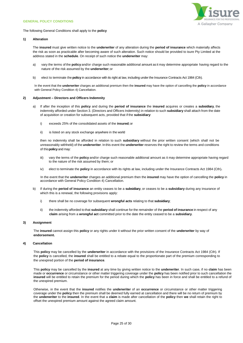<span id="page-24-0"></span>



The following General Conditions shall apply to the **policy**

# **1) Alteration**

The **insured** must give written notice to the **underwriter** of any alteration during the **period of insurance** which materially affects the risk as soon as practicable after becoming aware of such alteration. Such notice should be provided to isure Pty Limited at the address stated in the **schedule**. On receipt of such notice the **underwriter** may:

- a) vary the terms of the **policy** and/or charge such reasonable additional amount as it may determine appropriate having regard to the nature of the risk assumed by the **underwriter**; or
- b) elect to terminate the **policy** in accordance with its right at law, including under the Insurance Contracts Act 1984 (Cth).

In the event that the **underwriter** charges an additional premium then the **insured** may have the option of cancelling the **policy** in accordance with General Policy Condition 4) Cancellation.

#### **2) Adjustment – Directors and Officers Indemnity**

- a) If after the inception of this **policy** and during the **period of insurance** the **insured** acquires or creates a **subsidiary**, the indemnity afforded under Section 3. (Directors and Officers Indemnity) in relation to such **subsidiary** shall attach from the date of acquisition or creation for subsequent acts, provided that if the **subsidiary**:
	- i) exceeds 25% of the consolidated assets of the **insured***;*or
	- ii) is listed on any stock exchange anywhere in the world

then no indemnity shall be afforded in relation to such **subsidiary** without the prior written consent (which shall not be unreasonably withheld) of the **underwriter**. In this event the **underwriter** reserves the right to review the terms and conditions of this**policy** and may:

- iii) vary the terms of the **policy** and/or charge such reasonable additional amount as it may determine appropriate having regard to the nature of the risk assumed by them; or
- iv) elect to terminate the **policy** in accordance with its rights at law, including under the Insurance Contracts Act 1984 (Cth)**.**

In the event that the **underwriter** charges an additional premium then the **insured** may have the option of cancelling the **policy** in accordance with General Policy Condition 4) Cancellation.

- b) If during the **period of insurance** an entity ceases to be a **subsidiary**, or ceases to be a **subsidiary** during any insurance of which this is a renewal, the following provisions apply:
	- i) there shall be no coverage for subsequent **wrongful acts** relating to that **subsidiary**;
	- ii) the indemnity afforded to that **subsidiary** shall continue for the remainder of the **period of insurance** in respect of any **claim** arising from a **wrongful act** committed prior to the date the entity ceased to be a **subsidiary**.

# **3) Assignment**

The **insured** cannot assign this **policy** or any rights under it without the prior written consent of the **underwriter** by way of **endorsement.**

#### **4) Cancellation**

This **policy** may be cancelled by the **underwriter** in accordance with the provisions of the Insurance Contracts Act 1984 (Cth). If the **policy** is cancelled, the **insured** shall be entitled to a rebate equal to the proportionate part of the premium corresponding to the unexpired portion of the **period of insurance**.

This **policy** may be cancelled by the **insured** at any time by giving written notice to the **underwriter**. In such case, if no **claim** has been made or **occurrence** or circumstance or other matter triggering coverage under the **policy** has been notified prior to such cancellation the **insured** will be entitled to retain the premium for the period during which the **policy** has been in force and shall be entitled to a refund of the unexpired premium.

Otherwise, in the event that the **insured** notifies the **underwriter** of an **occurrence** or circumstance or other matter triggering coverage under the **policy** then the premium shall be deemed fully earned at cancellation and there will be no return of premium by the **underwriter** to the **insured**. In the event that a **claim** is made after cancellation of the **policy** then **we** shall retain the right to offset the unexpired premium amount against the agreed claim amount.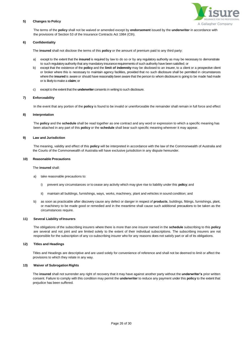

# **5) Changes to Policy**

The terms of the **policy** shall not be waived or amended except by **endorsement** issued by the **underwriter** in accordance with the provisions of Section 53 of the Insurance Contracts Act 1984 (Cth).

# **6) Confidentiality**

The **insured** shall not disclose the terms of this **policy** or the amount of premium paid to any third party:

- a) except to the extent that the **insured** is required by law to do so or by any regulatory authority as may be necessary to demonstrate to such regulatoryauthority that any mandatory insurancerequirements of such authority have been satisfied; or
- b) except that the existence of the **policy** and the **limit of indemnity** may be disclosed to an insurer, to a client or a prospective client or broker where this is necessary to maintain agency facilities, provided that no such disclosure shall be permitted in circumstances where the **insured** is aware or should have reasonably been aware that the person to whom disclosure is going to be made had made or is likelyto make a **claim**; or
- c) except to the extent that the **underwriter** consents in writingto such disclosure.

# **7) Enforceability**

In the event that any portion of the **policy** is found to be invalid or unenforceable the remainder shall remain in full force and effect

# **8) Interpretation**

The **policy** and the **schedule** shall be read together as one contract and any word or expression to which a specific meaning has been attached in any part of this **policy** or the **schedule** shall bear such specific meaning wherever it may appear.

#### **9) Law and Jurisdiction**

The meaning, validity and effect of this **policy** will be interpreted in accordance with the law of the Commonwealth of Australia and the Courts of the Commonwealth of Australia will have exclusive jurisdiction in any dispute hereunder.

#### **10) Reasonable Precautions**

#### The **insured** shall:

- a) take reasonable precautions to:
	- i) prevent any circumstances or to cease any activity which may give rise to liability under this **policy**; and
	- ii) maintain all buildings, furnishings, ways, works, machinery, plant and vehicles in sound condition; and
- b) as soon as practicable after discovery cause any defect or danger in respect of **products**, buildings, fittings, furnishings, plant, or machinery to be made good or remedied and in the meantime shall cause such additional precautions to be taken as the circumstances require.

# **11)** Several Liability of Insurers

The obligations of the subscribing insurers where there is more than one insurer named in the **schedule** subscribing to this **policy**  are several and not joint and are limited solely to the extent of their individual subscriptions. The subscribing insurers are not responsible for the subscription of any co-subscribing insurer who for any reasons does not satisfy part or all of its obligations.

# **12) Titles and Headings**

Titles and Headings are descriptive and are used solely for convenience of reference and shall not be deemed to limit or affect the provisions to which they relate in any way.

# **13) Waiver of Subrogation Rights**

The **insured** shall not surrender any right of recovery that it may have against another party without the **underwriter's** prior written consent. Failure to comply with this condition may permit the **underwriter** to reduce any payment under this **policy** to the extent that prejudice has been suffered.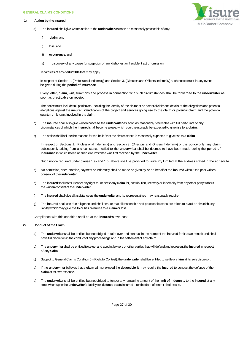#### <span id="page-26-0"></span>**GENERAL CLAIMS CONDITIONS**

#### **1) Action by theInsured**



- a) The **insured** shall give written notice to the **underwriter** as soon as reasonably practicable of any:
	- i) **claim**; and
	- ii) loss; and
	- iii) **occurrence**; and
	- iv) discovery of any cause for suspicion of any dishonest or fraudulent act or omission

regardless of any **deductible**that may apply.

In respect of Section 1. (Professional Indemnity) and Section 3. (Directors and Officers Indemnity) such notice must in any event be given during the **period of insurance**.

Every letter, **claim**, writ, summons and process in connection with such circumstances shall be forwarded to the **underwriter** as soon as practicable on receipt.

The notice must include full particulars, including the identity of the claimant or potential claimant, details of the allegations and potential allegations against the **insured**, identification of the project and services giving rise to the **claim** or potential **claim** and the potential quantum, if known, involved in the**claim**.

- b) The **insured** shall also give written notice to the **underwriter** as soon as reasonably practicable with full particulars of any circumstances of which the **insured**shall become aware, which could reasonably be expectedto give rise to a **claim**.
- c) The noticeshall includethe reasons forthe belief that the circumstance is reasonablyexpectedto give rise to a **claim**

In respect of Sections 1. (Professional Indemnity) and Section 3. (Directors and Officers Indemnity) of this **policy** only, any **claim**  subsequently arising from a circumstance notified to the **underwriter** shall be deemed to have been made during the **period of insurance** in which notice of such circumstance was first received by the **underwriter**.

Such notice required under clause 1 a) and 1 b) above shall be provided to Isure Pty Limited at the address stated in the **schedule**

- d) No admission, offer, promise, payment or indemnity shall be made or given by or on behalf of the **insured** without the prior written consent of the**underwriter**.
- e) The **insured**shall not surrender any right to, or settleany **claim** for, contribution, recoveryor indemnity from any other party without the written consent of the **underwriter.**
- f) The **insured**shall give all assistanceas the **underwriter** and its representatives may reasonably require.
- g) The **insured** shall use due diligence and shall ensure that all reasonable and practicable steps are taken to avoid or diminish any liabilitywhichmay give rise to or has given rise to a **claim** or loss.

Compliance with this condition shall be at the **insured's** own cost.

# **2) Conduct of the Claim**

- a) The **underwriter** shall be entitled but not obliged to take over and conduct in the name of the **insured** for its own benefit and shall have full discretionin the conduct of any proceedings and in the settlement of any **claim**.
- b) The**underwriter**shall be entitledto select and appoint lawyers or otherparties that will defend and representthe **insured**in respect of any**claim**.
- c) Subject to General Claims Condition 6) (Right to Contest), the **underwriter** shall be entitledto settle a **claim** at its sole discretion.
- d) If the **underwriter** believes that a **claim** will not exceed the **deductible**, it may require the **insured** to conduct the defence of the **claim** at its ownexpense.
- e) The **underwriter** shall be entitled but not obliged to tender any remaining amount of the **limit of indemnity** to the **insured** at any time, whereupon the **underwriter's** liability for **defence costs** incurred after the date of tender shall cease.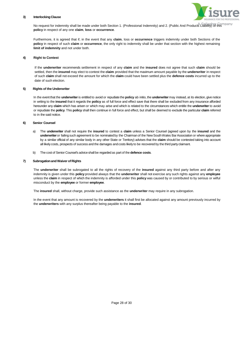# **3) InterlockingClause**



No request for indemnity shall be made under both Section 1. (Professional Indemnity) and 2. (Public And Products Liability) of this **policy** in respect of any one **claim**, **loss** or **occurrence**.

Furthermore, it is agreed that if, in the event that any **claim**, loss or **occurrence** triggers indemnity under both Sections of the **policy** in respect of such **claim** or **occurrence**, the only right to indemnity shall be under that section with the highest remaining **limit of indemnity** and not under both.

# **4) Right to Contest**

If the **underwriter** recommends settlement in respect of any **claim** and the **insured** does not agree that such **claim** should be settled, then the **insured** may elect to contest the **claim** provided that the maximum amount payable by the **underwriter** in respect of such **claim** shall not exceed the amount for which the **claim** could have been settled plus the **defence costs** incurred up to the date of such election.

# **5) Rights of the Underwriter**

In the event that the **underwriter**is entitled to avoid or repudiate the **policy** ab initio, the **underwriter** may instead, at its election, give notice in writing to the **insured** that it regards the **policy** as of full force and effect save that there shall be excluded from any insurance afforded hereunder any **claim** which has arisen or which may arise and which is related to the circumstances which entitle the **underwriter** to avoid or repudiate the **policy**. This **policy** shall then continue in full force and effect, but shall be deemed to exclude the particular **claim** referred to in the said notice.

# **6) Senior Counsel**

- a) The **underwriter** shall not require the **insured** to contest a **claim** unless a Senior Counsel (agreed upon by the **insured** and the underwriter or failing such agreement to be nominated by the Chairman of the New South Wales Bar Association or where appropriate by a similar official of any similar body in any other State or Territory) advises that the **claim** should be contested taking into account all likely costs, prospects of success and the damages and costs likely to be recovered by the third party claimant.
- b) The cost of Senior Counsel's adviceshall be regardedas part of the **defence costs**.

# **7) SubrogationandWaiver of Rights**

The **underwriter** shall be subrogated to all the rights of recovery of the **insured** against any third party before and after any indemnity is given under this **policy** provided always that the **underwriter** shall not exercise any such rights against any **employee**  unless the **claim** in respect of which the indemnity is afforded under this **policy** was caused by or contributed to by serious or wilful misconduct by the **employee** or former **employee**.

The **insured** shall, without charge, provide such assistance as the **underwriter** may require in any subrogation.

In the event that any amount is recovered by the **underwriters** it shall first be allocated against any amount previously incurred by the **underwriters** with any surplus thereafter being payable to the **insured**.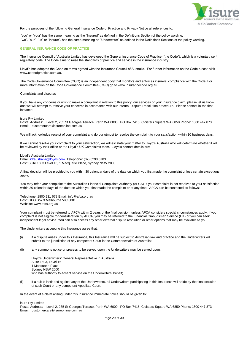

For the purposes of the following General Insurance Code of Practice and Privacy Notice all references to:

 "you" or "your" has the same meaning as the "Insured" as defined in the Definitions Section of the policy wording; "we", "our", "us" or "Insurer", has the same meaning as "Underwriter" as defined in the Definitions Sections of the policy wording.

# **GENERAL INSURANCE CODE OF PRACTICE**

The Insurance Council of Australia Limited has developed the General Insurance Code of Practice ("the Code"), which is a voluntary selfregulatory code. The Code aims to raise the standards of practice and service in the insurance industry.

Lloyd's has adopted the Code on terms agreed with the Insurance Council of Australia. For further information on the Code please visit www.codeofpractice.com.au.

The Code Governance Committee (CGC) is an independent body that monitors and enforces insurers' compliance with the Code. For more information on the Code Governance Committee (CGC) go to www.insurancecode.org.au

Complaints and disputes

If you have any concerns or wish to make a complaint in relation to this policy, our services or your insurance claim, please let us know and we will attempt to resolve your concerns in accordance with our Internal Dispute Resolution procedure. Please contact in the first instance:

isure Pty Limited

Postal Address: Level 2, 235 St Georges Terrace, Perth WA 6000 | PO Box 7415, Cloisters Square WA 6850 Phone: 1800 447 873 Email: customercare@isureonline.com.au

We will acknowledge receipt of your complaint and do our utmost to resolve the complaint to your satisfaction within 10 business days.

If we cannot resolve your complaint to your satisfaction, we will escalate your matter to Lloyd's Australia who will determine whether it will be reviewed by their office or the Lloyd's UK Complaints team. Lloyd's contact details are:

Lloyd's Australia Limited Email: [idraustralia@lloyds.com](mailto:idraustralia@lloyds.com) Telephone: (02) 8298 0783 Post: Suite 1603 Level 16, 1 Macquarie Place, Sydney NSW 2000

A final decision will be provided to you within 30 calendar days of the date on which you first made the complaint unless certain exceptions apply.

You may refer your complaint to the Australian Financial Complaints Authority (AFCA), if your complaint is not resolved to your satisfaction within 30 calendar days of the date on which you first made the complaint or at any time. AFCA can be contacted as follows:

Telephone: 1800 931 678 Email: info@afca.org.au Post: GPO Box 3 Melbourne VIC 3001 Website: www.afca.org.au

Your complaint must be referred to AFCA within 2 years of the final decision, unless AFCA considers special circumstances apply. If your complaint is not eligible for consideration by AFCA, you may be referred to the Financial Ombudsman Service (UK) or you can seek independent legal advice. You can also access any other external dispute resolution or other options that may be available to you.

The Underwriters accepting this Insurance agree that:

- (i) if a dispute arises under this Insurance, this Insurance will be subject to Australian law and practice and the Underwriters will submit to the jurisdiction of any competent Court in the Commonwealth of Australia;
- (ii) any summons notice or process to be served upon the Underwriters may be served upon:

Lloyd's Underwriters' General Representative in Australia Suite 1603, Level 16 1 Macquarie Place Sydney NSW 2000 who has authority to accept service on the Underwriters' behalf;

(ii) if a suit is instituted against any of the Underwriters, all Underwriters participating in this Insurance will abide by the final decision of such Court or any competent Appellate Court.

In the event of a claim arising under this Insurance immediate notice should be given to:

isure Pty Limited

Postal Address: Level 2, 235 St Georges Terrace, Perth WA 6000 | PO Box 7415, Cloisters Square WA 6850 Phone: 1800 447 873 Email: customercare@isureonline.com.au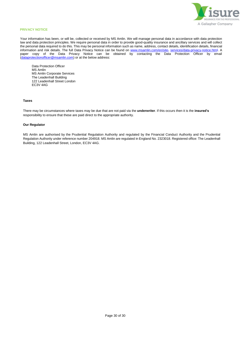

# **PRIVACY NOTICE**

Your information has been, or will be, collected or received by MS Amlin. We will manage personal data in accordance with data protection law and data protection principles. We require personal data in order to provide good-quality insurance and ancillary services and will collect the personal data required to do this. This may be personal information such as name, address, contact details, identification details, financial information and risk details. The full Data Privacy Notice can be found on [www.msamlin.com/en/site-](http://www.msamlin.com/en/site-) services/data-privacy-notice.html. A paper copy of the Data Privacy Notice can be obtained by contacting the Data Protection Officer by email (dataprotectionofficer@msamlin.com) or at the below address:

Data Protection Officer MS Amlin MS Amlin Corporate Services The Leadenhall Building 122 Leadenhall Street London EC3V 4AG

# **Taxes**

There may be circumstances where taxes may be due that are not paid via the **underwriter**. If this occurs then it is the **insured's** responsibility to ensure that these are paid direct to the appropriate authority.

# **Our Regulator**

MS Amlin are authorised by the Prudential Regulation Authority and regulated by the Financial Conduct Authority and the Prudential Regulation Authority under reference number 204918. MS Amlin are regulated in England No. 2323018. Registered office: The Leadenhall Building, 122 Leadenhall Street, London, EC3V 4AG.